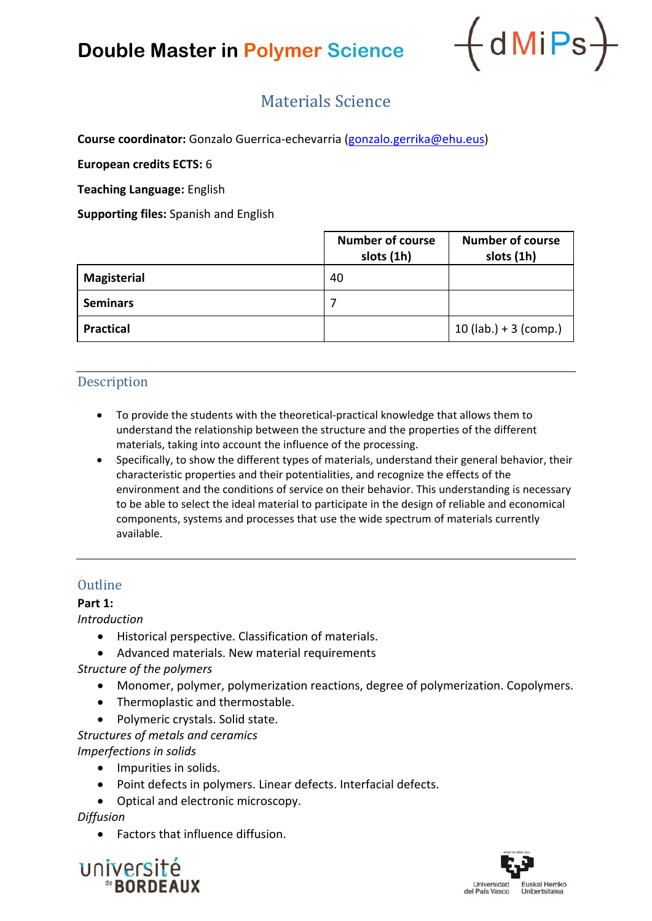## **Double Master in Polymer Science**



### Materials Science

**Course coordinator:** Gonzalo Guerrica‐echevarria (gonzalo.gerrika@ehu.eus)

**European credits ECTS:** 6

**Teaching Language:** English

**Supporting files:** Spanish and English

|                    | <b>Number of course</b><br>slots (1h) | <b>Number of course</b><br>slots (1h) |
|--------------------|---------------------------------------|---------------------------------------|
| <b>Magisterial</b> | 40                                    |                                       |
| <b>Seminars</b>    |                                       |                                       |
| <b>Practical</b>   |                                       | 10 (lab.) + 3 (comp.)                 |

#### **Description**

- To provide the students with the theoretical-practical knowledge that allows them to understand the relationship between the structure and the properties of the different materials, taking into account the influence of the processing.
- Specifically, to show the different types of materials, understand their general behavior, their characteristic properties and their potentialities, and recognize the effects of the environment and the conditions of service on their behavior. This understanding is necessary to be able to select the ideal material to participate in the design of reliable and economical components, systems and processes that use the wide spectrum of materials currently available.

#### **Outline**

#### **Part 1:**

*Introduction*

- Historical perspective. Classification of materials.
- Advanced materials. New material requirements

*Structure of the polymers*

- Monomer, polymer, polymerization reactions, degree of polymerization. Copolymers.
- Thermoplastic and thermostable.
- Polymeric crystals. Solid state.

*Structures of metals and ceramics Imperfections in solids*

- Impurities in solids.
- Point defects in polymers. Linear defects. Interfacial defects.
- Optical and electronic microscopy.

*Diffusion*

Factors that influence diffusion.